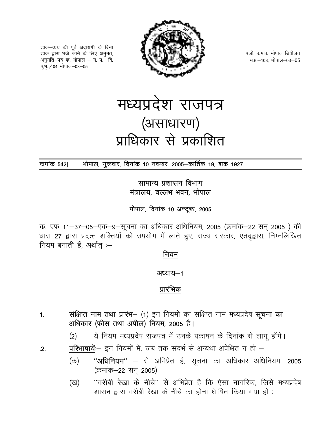डाक–व्यय की पूर्व अदायगी के बिना डाक द्वारा भेजे जाने के लिए अनुमत, अनुमति–पत्र क. भोपाल – म. प्र. बि. पू.भू. / 04 भोपाल-03-05



पंजी, कमांक भोपाल डिवीजन म.प्र.-108, भोपाल-03-05

# मध्यप्रदेश राजपत्र (असाधारण) प्राधिकार से प्रकाशित

#### भोपाल, गुरूवार, दिनांक 10 नवम्बर, 2005-कार्तिक 19, शक 1927 कमांक 5421

सामान्य प्रशासन विभाग मंत्रालय, वल्लभ भवन, भोपाल

भोपाल, दिनांक 10 अक्टूबर, 2005

क. एफ 11–37–05–एक–9–सूचना का अधिकार अधिनियम, 2005 (क्रमांक–22 सन् 2005) की धारा 27 द्वारा प्रदत्त शक्तियों को उपयोग में लाते हुए, राज्य सरकार, एतदृद्वारा, निम्नलिखित नियम बनाती हैं, अर्थात :-

#### नियम

#### अध्याय—1

#### प्रारंभिक

- संक्षिप्त नाम तथा प्रारंभ- (1) इन नियमों का संक्षिप्त नाम मध्यप्रदेष सूचना का  $1<sub>1</sub>$ अधिकार (फीस तथा अपील) नियम, 2005 है।
	- ये नियम मध्यप्रदेष राजपत्र में उनके प्रकाषन के दिनांक से लागू होंगे।  $(2)$
- परिभाषायें:-- इन नियमों में, जब तक संदर्भ से अन्यथा अपेक्षित न हो -- $.2.$ 
	- "अधिनियम" से अभिप्रेत है, सूचना का अधिकार अधिनियम, 2005 (क) (क्रमांक-22 सन् 2005)
	- "गरीबी रेखा के नीचे" से अभिप्रेत है कि ऐसा नागरिक, जिसे मध्यप्रदेष (ख) शासन द्वारा गरीबी रेखा के नीचे का होना घेाषित किया गया हो :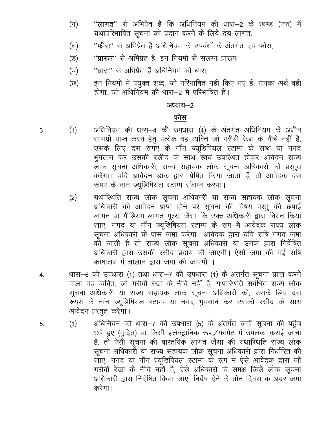- ''**लागत''** से अभिप्रेत है कि अधिनियम की धारा—2 के खण्ड (एफ) में  $(\pi)$ यथापरिभाषित सूचना को प्रदान करने के लिये देय लागत,
- "फीस" से अभिप्रेत है अधिनियम के उपबंधों के अंतर्गत देय फीस. (घ)
- "प्रारूप" से अभिप्रेत है, इन नियमों से संलग्न प्रारूपः  $(\overline{S})$
- "धारा" से अभिप्रेत हैं अधिनियम की धारा, (च)
- इन नियमो में प्रयुक्त शब्द, जो परिभाषित नहीं किए गए हैं, उनका अर्थ वही (छ) होगा, जो अधिनियम की धारा-2 में परिभाषित है।

#### अध्याय-2

#### फीस

- 3
- अधिनियम की धारा-4 की उपधारा (4) के अंतर्गत अधिनियम के अधीन  $(1)$ सामग्री प्राप्त करने हेतु प्रत्येक वह व्यक्ति जो गरीबी रेखा के नीचे नहीं है, उसके लिए दस रूपए के नॉन ज्यूडिषियल स्टाम्प के साथ या नगद भुगतान कर उसकी रसीद के साथ स्वयं उपस्थित होकर आवेदन राज्य ्<br>लोक सूचना अधिकारी, राज्य सहायक लोक सूचना अधिकारी को प्रस्तुत करेगा। यदि आवेदन डाक द्वारा प्रेषित किया जाता हैं, तो आवेदक दस रूपए के नान ज्यूडिषियल स्टाम्प संलग्न करेगा।
- यथास्थिति राज्य लोक सूचना अधिकारी या राज्य सहायक लोक सूचना  $(2)$ अधिकारी को आवेदन प्राप्त होने पर सूचना की विषय वस्तु की छपाई लागत या मीडियम लागत मूल्य, जैसा कि उक्त अधिकारी द्वारा नियत किया जाए, नगद या नॉन ज्यूडिंषियल स्टाम्प के रूप में आवेदक राज्य लोक सूचना अधिकारी के पास जमा करेगा। आवेदक द्वारा यदि राषि नगद जमा की जाती हैं तो राज्य लोक सूचना अधिकारी या उनके द्वारा निर्देषित अधिकारी द्वारा उसकी रसीद प्रदाय की जाएगी। ऐसी जमा की गई राषि कोषालय में चालान द्वारा जमा की जाएगी ।
- धारा-6 की उपधारा (1) तथा धारा-7 की उपधारा (1) के अंतर्गत सूचना प्राप्त करने  $4.$ वाला वह व्यक्ति, जो गरीबी रेखा के नीचे नहीं है, यथास्थिति संबंधित राज्य लोक सूचना अधिकारी या राज्य सहायक लोक सूचना अधिकारी को, उसके लिए दस रूपये के नॉन ज्यूडिषियल स्टाम्प या नगद भुगतान कर उसकी रसीद के साथ आवेदन प्रस्तुत करेगा।
- अधिनियम की धारा-7 की उपधारा (5) के अंतर्गत जहाँ सूचना की पहुँच  $(1)$ 5. छपे हुए (मुद्रित) या किसी इलेक्ट्रानिक रूप / फार्मेट में उपलब्ध कराई जाना है, तो ऐसी सूचना की वास्तविक लागत जैसा की यथास्थिति राज्य लोक सूचना अधिकारी या राज्य सहायक लोक सूचना अधिकारी द्वारा निर्धारित की जाए, नगद या नॉन ज्यूडिषियल स्टाम्प के रूप में ऐसे आवेदक द्वारा जो गरीबी रेखा के नीचे नहीं है, ऐसे अधिकारी के समक्ष जिसे लोक सूचना अधिकारी द्वारा निर्देषित किया जाए. निर्देष देने के तीन दिवस के अंदर जमा करेगा।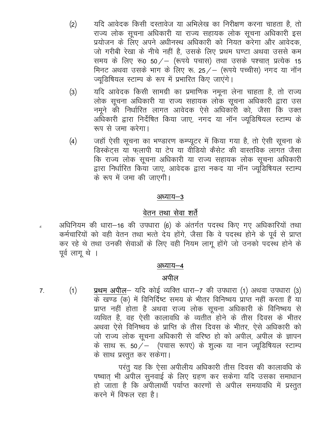- यदि आवेदक किसी दस्तावेज या अभिलेख का निरीक्षण करना चाहता है, तो  $(2)$ राज्य लोक सूचना अधिकारी या राज्य सहायक लोक सूचना अधिकारी इस प्रयोजन के लिए अपने अधीनस्थ अधिकारी को नियत करेगा और आवेदक. जो गरीबी रेखा के नीचे नहीं है, उसके लिए प्रथम घण्टा अथवा उससे कम समय के लिए रू0 50/ – (रूपये पचास) तथा उसके पश्चात् प्रत्येक 15 मिनट अथवा उसके भाग के लिए रू. 25 / - (रूपये पच्चीस) नगद या नॉन ज्यूडिषियल स्टाम्प के रूप में प्रभारित किए जाएंगे।
- यदि आवेदक किसी सामग्री का प्रमाणिक नमूना लेना चाहता है, तो राज्य  $(3)$ लोक सूचना अधिकारी या राज्य सहायक लोक सूचना अधिकारी द्वारा उस नमूने की निर्धारित लागत आवेदक ऐसे अधिकारी को, जैसा कि उक्त अधिकारी द्वारा निर्देषित किया जाए, नगद या नॉन ज्युडिषियल स्टाम्प के रूप से जमा करेगा।
- जहाँ ऐसी सूचना का भण्डारण कम्प्यूटर में किया गया है, तो ऐसी सूचना के  $(4)$ डिस्केट्स या फलापी या टेप या वीडियो कैसेट की वास्तविक लागत जैसा कि राज्य लोक सूचना अधिकारी या राज्य सहायक लोक सूचना अधिकारी द्वारा निर्धारित किया जाए, आवेदक द्वारा नकद या नॉन ज्यूडिषियल स्टाम्प के रूप में जमा की जाएगी।

#### अध्याय–3

#### वेतन तथा सेवा शर्ते

अधिनियम की धारा–16 की उपधारा (6) के अंतर्गत पदस्थ किए गए अधिकारियों तथा कर्मचारियों को वही वेतन तथा भत्ते देय होंगे, जैसा कि वे पदस्थ होने के पूर्व से प्राप्त कर रहे थे तथा उनकी सेवाओं के लिए वही नियम लागू होंगे जो उनको पदस्थ होने के पूर्व लागू थे ।

#### अध्याय–4

#### अपील

प्रथम अपील– यदि कोई व्यक्ति धारा–7 की उपधारा (1) अथवा उपधारा (3)  $(1)$  $7<sub>1</sub>$ के खण्ड (क) में विनिर्दिष्ट समय के भीतर विनिष्चय प्राप्त नहीं करता हैं या प्राप्त नहीं होता है अथवा राज्य लोक सूचना अधिकारी के विनिष्चय से व्यथित है, वह ऐसी कालावधि के व्यतीत होने के तीस दिवस के भीतर अथवा ऐसे विनिष्चय के प्राप्ति के तीस दिवस के भीतर, ऐसे अधिकारी को जो राज्य लोक सूचना अधिकारी से वरिष्ठ हो को अपील, अपील के ज्ञापन के साथ रू. 50 / - (पचास रूपए) के शुल्क या नान ज्यूडिषियल स्टाम्प के साथ प्रस्तुत कर सकेगा।

> परंतु यह कि ऐसा अपीलीय अधिकारी तीस दिवस की कालावधि के पष्चात भी अपील सुनवाई के लिए ग्रहण कर सकेगा यदि उसका समाधान हो जाता है कि अपीलार्थी पर्याप्त कारणों से अपील समयावधि में प्रस्तुत करने में विफल रहा है।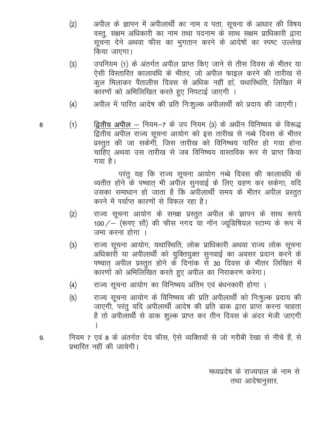- अपील के ज्ञापन में अपीलार्थी का नाम व पता, सूचना के आधार की विषय  $(2)$ वस्त्, सक्षम अधिकारी का नाम तथा पदनाम के साथ सक्षम प्राधिकारी द्वारा सूचना देने अथवा फीस का भुगतान करने के आदेषों का स्पष्ट उल्लेख किया जाएगा।
- उपनियम (1) के अंतर्गत अपील प्राप्त किए जाने से तीस दिवस के भीतर या  $(3)$ ऐसी विस्तारित कालावधि के भीतर, जो अपील फाइल करने की तारीख से कूल मिलाकर पैंतालीस दिवस से अधिक नहीं हाे, यथारिथति, लिखित में कारणों को अभिलिखित करते हुए निपटाई जाएगी ।
- अपील में पारित आदेष की प्रति निःशुल्क अपीलार्थी को प्रदाय की जाएगी।  $(4)$
- 8
- द्वितीय अपील नियम-7 के उप नियम (3) के अधीन विनिष्चय के विरूद्ध  $(1)$ द्वितीय अपील राज्य सूचना आयोग को इस तारीख से नब्बे दिवस के भीतर प्रस्तुत की जा सकेगी, जिस तारीख को विनिष्चय पारित हो गया होना चाहिए अथवा उस तारीख से जब विनिष्चय वास्तविक रूप से प्राप्त किया गया है।

परंतु यह कि राज्य सूचना आयोग नब्बे दिवस की कालावधि के व्यतीत होने के पष्चात् भी अपील सुनवाई के लिए ग्रहण कर सकेगा, यदि उसका समाधान हो जाता है कि अपीलार्थी समय के भीतर अपील प्रस्तुत करने में पर्याप्त कारणों से विफल रहा है।

- राज्य सूचना आयोग के समक्ष प्रस्तुत अपील के ज्ञापन के साथ रूपये  $(2)$ 100 / - (रूपए सौ) की फीस नगद या नॉन ज्यडिषियल स्टाम्प के रूप में जमा करना होगा ।
- राज्य सूचना आयोग, यथास्थिति, लोक प्राधिकारी अथवा राज्य लोक सूचना  $(3)$ अधिकारी या अपीलार्थी को युक्तियुक्त सुनवाई का अवसर प्रदान करने के पष्चात् अपील प्रस्तुत होने के दिनांक से 30 दिवस के भीतर लिखित में कारणों को अभिलिखित करते हुए अपील का निराकरण करेगा।
- राज्य सूचना आयोग का विनिष्चय अंतिम एवं बंधनकारी होगा ।  $(4)$
- राज्य सूचना आयोग के विनिष्चय की प्रति अपीलार्थी को निःषुल्क प्रदाय की  $(5)$ जाएगी, परंतु यदि अपीलार्थी आदेष की प्रति डाक द्वारा प्राप्त करना चाहता है तो अपीलार्थी से डाक शुल्क प्राप्त कर तीन दिवस के अंदर भेजी जाएगी
- नियम 7 एवं 8 के अंतर्गत देय फीस, ऐसे व्यक्तियों से जो गरीबी रेखा से नीचे हैं, से 9. प्रभारित नहीं की जायेगी।
	- मध्यप्रदेष के राज्यपाल के नाम से तथा आदेषानुसार,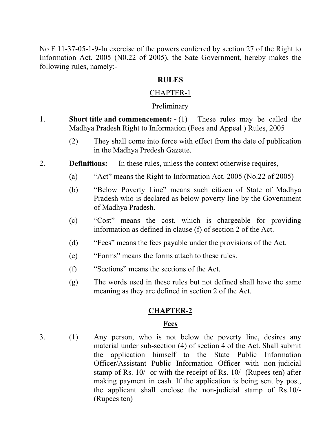No F 11-37-05-1-9-In exercise of the powers conferred by section 27 of the Right to Information Act. 2005 (N0.22 of 2005), the Sate Government, hereby makes the following rules, namely:-

#### **RULES**

#### CHAPTER-1

#### **Preliminary**

- 1. **Short title and commencement: -** (1) These rules may be called the Madhya Pradesh Right to Information (Fees and Appeal ) Rules, 2005
	- (2) They shall come into force with effect from the date of publication in the Madhya Predesh Gazette.
- 2. **Definitions:** In these rules, unless the context otherwise requires,
	- (a) "Act" means the Right to Information Act. 2005 (No.22 of 2005)
	- (b) "Below Poverty Line" means such citizen of State of Madhya Pradesh who is declared as below poverty line by the Government of Madhya Pradesh.
	- (c) "Cost" means the cost, which is chargeable for providing information as defined in clause (f) of section 2 of the Act.
	- (d) "Fees" means the fees payable under the provisions of the Act.
	- (e) "Forms" means the forms attach to these rules.
	- (f) "Sections" means the sections of the Act.
	- (g) The words used in these rules but not defined shall have the same meaning as they are defined in section 2 of the Act.

#### **CHAPTER-2**

#### **Fees**

3. (1) Any person, who is not below the poverty line, desires any material under sub-section (4) of section 4 of the Act. Shall submit the application himself to the State Public Information Officer/Assistant Public Information Officer with non-judicial stamp of Rs. 10/- or with the receipt of Rs. 10/- (Rupees ten) after making payment in cash. If the application is being sent by post, the applicant shall enclose the non-judicial stamp of Rs.10/- (Rupees ten)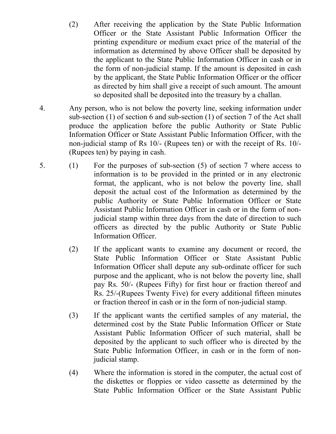- (2) After receiving the application by the State Public Information Officer or the State Assistant Public Information Officer the printing expenditure or medium exact price of the material of the information as determined by above Officer shall be deposited by the applicant to the State Public Information Officer in cash or in the form of non-judicial stamp. If the amount is deposited in cash by the applicant, the State Public Information Officer or the officer as directed by him shall give a receipt of such amount. The amount so deposited shall be deposited into the treasury by a challan.
- 4. Any person, who is not below the poverty line, seeking information under sub-section (1) of section 6 and sub-section (1) of section 7 of the Act shall produce the application before the public Authority or State Public Information Officer or State Assistant Public Information Officer, with the non-judicial stamp of Rs 10/- (Rupees ten) or with the receipt of Rs. 10/- (Rupees ten) by paying in cash.
- 5. (1) For the purposes of sub-section (5) of section 7 where access to information is to be provided in the printed or in any electronic format, the applicant, who is not below the poverty line, shall deposit the actual cost of the Information as determined by the public Authority or State Public Information Officer or State Assistant Public Information Officer in cash or in the form of nonjudicial stamp within three days from the date of direction to such officers as directed by the public Authority or State Public Information Officer.
	- (2) If the applicant wants to examine any document or record, the State Public Information Officer or State Assistant Public Information Officer shall depute any sub-ordinate officer for such purpose and the applicant, who is not below the poverty line, shall pay Rs. 50/- (Rupees Fifty) for first hour or fraction thereof and Rs. 25/-(Rupees Twenty Five) for every additional fifteen minutes or fraction thereof in cash or in the form of non-judicial stamp.
	- (3) If the applicant wants the certified samples of any material, the determined cost by the State Public Information Officer or State Assistant Public Information Officer of such material, shall be deposited by the applicant to such officer who is directed by the State Public Information Officer, in cash or in the form of nonjudicial stamp.
	- (4) Where the information is stored in the computer, the actual cost of the diskettes or floppies or video cassette as determined by the State Public Information Officer or the State Assistant Public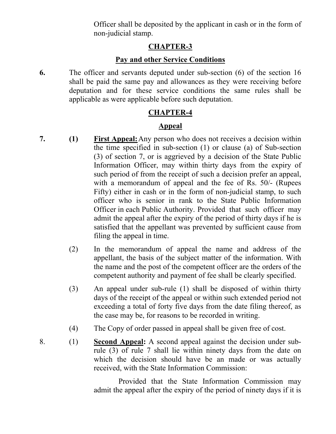Officer shall be deposited by the applicant in cash or in the form of non-judicial stamp.

#### **CHAPTER-3**

#### **Pay and other Service Conditions**

**6.** The officer and servants deputed under sub-section (6) of the section 16 shall be paid the same pay and allowances as they were receiving before deputation and for these service conditions the same rules shall be applicable as were applicable before such deputation.

#### **CHAPTER-4**

#### **Appeal**

- **7. (1) First Appeal:**Any person who does not receives a decision within the time specified in sub-section (1) or clause (a) of Sub-section (3) of section 7, or is aggrieved by a decision of the State Public Information Officer, may within thirty days from the expiry of such period of from the receipt of such a decision prefer an appeal, with a memorandum of appeal and the fee of Rs. 50/- (Rupees Fifty) either in cash or in the form of non-judicial stamp, to such officer who is senior in rank to the State Public Information Officer in each Public Authority. Provided that such officer may admit the appeal after the expiry of the period of thirty days if he is satisfied that the appellant was prevented by sufficient cause from filing the appeal in time.
	- (2) In the memorandum of appeal the name and address of the appellant, the basis of the subject matter of the information. With the name and the post of the competent officer are the orders of the competent authority and payment of fee shall be clearly specified.
	- (3) An appeal under sub-rule (1) shall be disposed of within thirty days of the receipt of the appeal or within such extended period not exceeding a total of forty five days from the date filing thereof, as the case may be, for reasons to be recorded in writing.
	- (4) The Copy of order passed in appeal shall be given free of cost.
- 8. (1) **Second Appeal:** A second appeal against the decision under subrule (3) of rule 7 shall lie within ninety days from the date on which the decision should have be an made or was actually received, with the State Information Commission:

Provided that the State Information Commission may admit the appeal after the expiry of the period of ninety days if it is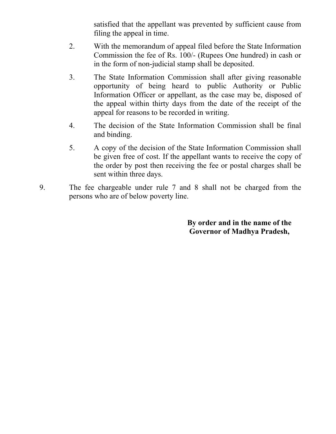satisfied that the appellant was prevented by sufficient cause from filing the appeal in time.

- 2. With the memorandum of appeal filed before the State Information Commission the fee of Rs. 100/- (Rupees One hundred) in cash or in the form of non-judicial stamp shall be deposited.
- 3. The State Information Commission shall after giving reasonable opportunity of being heard to public Authority or Public Information Officer or appellant, as the case may be, disposed of the appeal within thirty days from the date of the receipt of the appeal for reasons to be recorded in writing.
- 4. The decision of the State Information Commission shall be final and binding.
- 5. A copy of the decision of the State Information Commission shall be given free of cost. If the appellant wants to receive the copy of the order by post then receiving the fee or postal charges shall be sent within three days.
- 9. The fee chargeable under rule 7 and 8 shall not be charged from the persons who are of below poverty line.

**By order and in the name of the Governor of Madhya Pradesh,**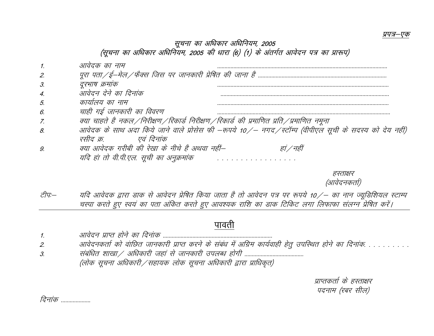#### सूचना का अधिकार अधिनियम, 2005 (सूचना का अधिकार अधिनियम, 2005 की धारा (6) (1) के अंतर्गत आवेदन पत्र का प्रारूप)

|    | दक का नाम                                                                                                 |
|----|-----------------------------------------------------------------------------------------------------------|
| 2. |                                                                                                           |
| 3. | रसाप क्रमाक                                                                                               |
|    | आवेदन देने का दिनांक                                                                                      |
| 5  | कार्यालय का नाम                                                                                           |
| 6. | चाही गई जानकारी का विवरण                                                                                  |
|    | क्या चाहते है नकल /निरीक्षण /रिकार्ड निरीक्षण /रिकार्ड की प्रमाणित प्रति /प्रमाणित नमूना                  |
| 8  | आवेदक के साथ अदा किये जाने वाले प्रोसेस फी –रूपये 10 ⁄ – नगद ⁄ स्टॉम्प (वीपीएल सूची के सदस्य को देय नहीं) |
|    | रसीद क्र<br>एवं दिनाक                                                                                     |
|    | क्या आवेदक गरीबी की रेखा के नीचे है अथवा नहीं—                                                            |
|    | यदि हां तो वी.पी.एल. सूची का अनुक्रमांक                                                                   |
|    |                                                                                                           |

हस्ताक्षर (आवेदनकर्ता)

टीपः— यदि आवेदक द्वारा डाक से आवेदन प्रेषित किया जाता है तो आवेदन पत्र पर रूपये 10 ⁄– का नान ज्यूडिशियल स्टाम्प चस्पा करते हुए स्वयं का पता अंकित करते हुए आवश्यक राशि का डाक टिकिट लगा लिफाफा संलग्न प्रेषित करें।

### पावती

- 1- vkosnu izkIr gksus dk fnuakd --------------------------------------------------------------------------
- ...<br>2. आवेदनकर्ता को वांछित जानकारी प्राप्त करने के संबंध में अग्रिम कार्यवाही हेतु उपस्थित होने का दिनांक.
- 3- lacaf/kr 'kk[kk@ vf/kdkjh tgka ls tkudkjh miyC/k gksxh ---------------------------------------- (लोक सूचना अधिकारी ⁄ सहायक लोक सूचना अधिकारी द्वारा प्राधिकृत)

प्राप्तकर्ता के हस्ताक्षर पदनाम (रबर सील)

*दिनांक ..................*.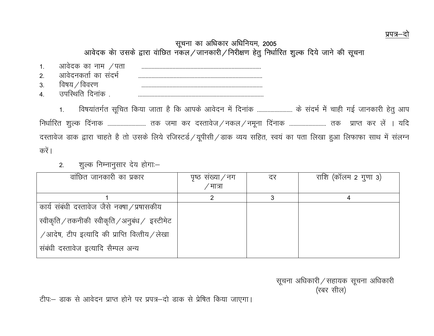#### प्रपत्र-

#### सूचना का अधिकार अधिनियम, 2005 आवेदक केा उसके द्वारा वाछित नकल/जानकारी/निरीक्षण हेतु निर्धारित शुल्क दिये जाने की सूचना

| л<br>. . | chi ना<br>н<br>1911 |   |
|----------|---------------------|---|
| $\sim$   | chl<br>Y H G .      |   |
| ູ<br>ູບ. |                     | . |
|          |                     |   |

1. विषयांतर्गत सूचित किया जाता है कि आपके आवेदन में दिनांक ........................ के संदर्भ में चाही गई जानकारी हेतु आप निर्धारित शुल्क दिनाक ........................... तक जमा कर दस्तावेज / नकल / नमूना दिनाक .......................... तक प्राप्त कर लें । यदि दस्तावेज डाक द्वारा चाहते है तो उसके लिये रजिस्टर्ड /यूपीसी /डाक व्यय सहित, स्वयं का पता लिखा हुआ लिफाफा साथ में संलग्न करें ।

2. शुल्क निम्नानुसार देय होगा:–

| वांछित जानकारी का प्रकार                                         | पृष्ठ संख्या/नग | दर | राशि (कॉलम 2 गुणा 3) |
|------------------------------------------------------------------|-----------------|----|----------------------|
|                                                                  | ′मात्रा         |    |                      |
|                                                                  |                 |    |                      |
| कार्य संबंधी दस्तावेज जैसे नक्षा / प्रषासकीय                     |                 |    |                      |
| रवीकृति / तकनीकी स्वीकृति / अनुबंध / इस्टीमेट                    |                 |    |                      |
| $\sqrt{3}$ आदेष, टीप इत्यादि की प्राप्ति वित्तीय $\sqrt{3}$ लेखा |                 |    |                      |
| संबंधी दस्तावेज इत्यादि सैम्पल अन्य                              |                 |    |                      |

सूचना अधिकारी / सहायक सूचना अधिकारी  $(\forall \, 8 \forall \, \forall \, 1)$  , where  $(\forall \, 8 \forall \, \forall \, 1)$  ,  $(\forall \, 8 \forall \, \forall \, 1)$  ,  $(\forall \, 8 \forall \, \forall \, 1)$ 

टीपः - डाक से आवेदन प्राप्त होने पर प्रपत्र-दो डाक से प्रेषित किया जाएगा।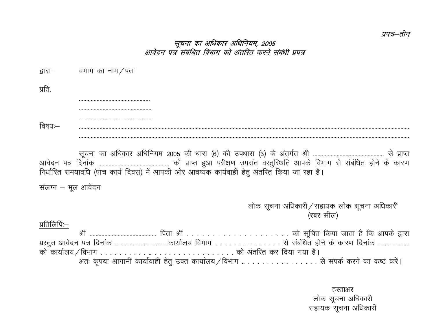#### प्रपत्र—तीन

#### सूचना का अधिकार अधिनियम, 2005 आवेदन पत्र संबंधित विभाग को अंतरित करने संबंधी प्रपत्र

| द्वारा | वभाग का नाम<br>' पता                                                  |
|--------|-----------------------------------------------------------------------|
| प्रति  |                                                                       |
|        |                                                                       |
|        |                                                                       |
|        |                                                                       |
|        |                                                                       |
|        |                                                                       |
|        | कार अधिनियम 2005 की धारा (6) की उपधारा (3) के अंतर्गत श्री<br>सनना का |

 lwpuk dk vf/kdkj vf/kfu;e 2005 dh /kkjk ¼6½ dh mi/kkjk ¼3½ ds varxZr Jh ------------------------------------------------ ls izkIr vkosnu i= fnukad ------------------------------------------------ dks izkIr gqvk ijh{k.k mijkar oLrqfLFkfr vkids foHkkx ls lacaf/kr gksus ds dkj.k निर्धारित समयावधि (पांच कार्य दिवस) में आपकी ओर आवष्यक कार्यवाही हेतु अंतरित किया जा रहा है।

संलग्न  $-$  मूल आवेदन

लोक सूचना अधिकारी / सहायक लोक सूचना अधिकारी (रबर सील)

प्रतिलिपिः $-$ 

 Jh --------------------------------------------- firk Jh - - - - - - - - - - - - - - - - - - - - dks lwfpr fd;k tkrk gS fd vkids }kjk izLrqr vkosnu i= fnukad ------------------------------------dk;kZy; foHkkx - - - - - - - - - - - - - - ls lacaf/kr gksus ds dkj.k fnukad -------------------- dks dk;kZy;@foHkkx - - - - - - - - - - -- - - - - - - - - - - - - - - - - - dks varfjr dj fn;k x;k gSA अतः कृपया आगामी कार्यावाही हेतु उक्त कार्यालय / विभाग .. . . . . . . . . . . . . . से संपर्क करने का कष्ट करें।

> हस्ताक्षर लोक सूचना अधिकारी सहायक सूचना अधिकारी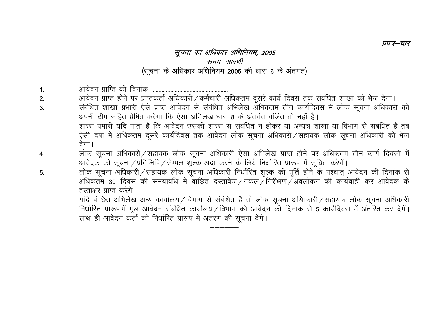#### सूचना का अधिकार अधिनियम, 2005 समय–सारणी (सूचना के अधिकार अधिनियम 2005 की धारा 6 के अंतर्गत)

प्रपत्र—चार

 $1<sub>1</sub>$ 

5.

- आवेदन प्राप्त होने पर प्राप्तकर्ता अधिकारी / कर्मचारी अधिकतम दूसरे कार्य दिवस तक संबंधित शाखा को भेज देगा।  $2.$
- संबंधित शाखा प्रभारी ऐसे प्राप्त आवेदन से संबंधित अभिलेख अधिकतम तीन कार्यदिवस में लोक सूचना अधिकारी को  $3<sub>l</sub>$ अपनी टीप सहित प्रेषित करेगा कि ऐसा अभिलेख धारा 8 के अंतर्गत वर्जित तो नहीं है। शाखा प्रभारी यदि पाता है कि आवेदन उसकी शाखा से संबंधित न होकर या अन्यत्र शाखा या विभाग से संबंधित है तब ऐसी दषा में अधिकतम दूसरे कार्यदिवस तक आवेदन लोक सूचना अधिकारी / सहायक लोक सूचना अधिकारी को भेज देगा।
- लोक सूचना अधिकारी / सहायक लोक सूचना अधिकारी ऐसा अभिलेख प्राप्त होने पर अधिकतम तीन कार्य दिवसो में 4. आवेदक को सूचना / प्रतिलिपि / सेम्पल शुल्क अदा करने के लिये निर्धारित प्रारूप में सूचित करेगें।
	- लोक सूचना अधिकारी/सहायक लोक सूचना अधिकारी निर्धारित शुल्क की पूर्ति होने के पश्चात् आवेदन की दिनांक से अधिकतम 30 दिवस की समयावधि में वांछित दस्तावेज / नकल / निरीक्षण / अवलोकन की कार्यवाही कर आवेदक के हस्ताक्षर प्राप्त करेगें।

यदि वांछित अभिलेख अन्य कार्यालय / विभाग से संबंधित है तो लोक सूचना अयिाकारी / सहायक लोक सूचना अधिकारी निर्धारित प्रारूप में मूल आवेदन संबंधित कार्यालय / विभाग को आवेदन की दिनांक से 5 कार्यदिवस में अंतरित कर देगें। साथ ही आवेदन कर्ता को निर्धारित प्रारूप में अंतरण की सूचना देंगे।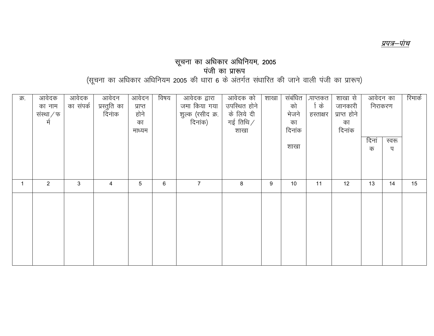#### सूचना का अधिकार अधिनियम, 2005 पंजी का प्रारूप

(सूचना का अधिकार अधिनियम 2005 की धारा 6 के अंतर्गत संधारित की जाने वाली पंजी का प्रारूप)

| क्र. | आवेदक<br>का नाम<br>संस्था $/$ फ<br>र्म | आवेदक<br>का संपर्क | आवेदन<br>प्रस्तुति का<br>दिनांक | आवेदन<br>प्राप्त<br>होने<br>का<br>माध्यम | विषय | आवेदक द्वारा<br>जमा किया गया<br>शुल्क (रसीद क्र.  <br>  दिनांक) | आवेदक को<br>उपस्थित होने<br>के लिये दी<br>गई तिथि ⁄<br>शाखा | शाखा | संबंधित<br>को<br>भेजने<br>का<br>दिनांक<br>शाखा | <i>प्रा</i> प्तकत<br>िके<br>हस्ताक्षर | शाखा से<br>जानकारी<br>प्राप्त होने<br>का<br>दिनांक | आवेदन का<br>निराकरण<br>दिनां<br>क | स्वरू<br>प | रिमार्क |
|------|----------------------------------------|--------------------|---------------------------------|------------------------------------------|------|-----------------------------------------------------------------|-------------------------------------------------------------|------|------------------------------------------------|---------------------------------------|----------------------------------------------------|-----------------------------------|------------|---------|
|      | 2                                      | 3                  | 4                               | 5                                        | 6    | $\overline{7}$                                                  | 8                                                           | 9    | 10                                             | 11                                    | 12                                                 | 13                                | 14         | 15      |
|      |                                        |                    |                                 |                                          |      |                                                                 |                                                             |      |                                                |                                       |                                                    |                                   |            |         |